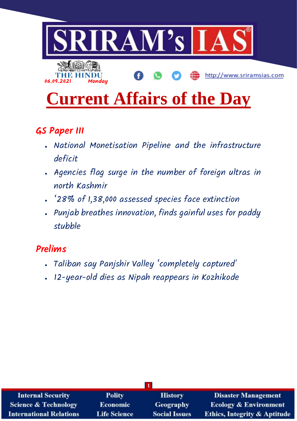

# **Current Affairs of the Day**

# **GS Paper III**

- National Monetisation Pipeline and the infrastructure deficit
- Agencies flag surge in the number of foreign ultras in north Kashmir
- '28% of 1,38,000 assessed species face extinction
- Punjab breathes innovation, finds gainful uses for paddy stubble

# **Prelims**

- Taliban say Panjshir Valley 'completely captured'
- 12-year-old dies as Nipah reappears in Kozhikode

| <b>Internal Security</b>        | <b>Polity</b>       | <b>History</b>       | <b>Disaster Management</b>              |
|---------------------------------|---------------------|----------------------|-----------------------------------------|
| <b>Science &amp; Technology</b> | <b>Economic</b>     | <b>Geography</b>     | <b>Ecology &amp; Environment</b>        |
| <b>International Relations</b>  | <b>Life Science</b> | <b>Social Issues</b> | <b>Ethics, Integrity &amp; Aptitude</b> |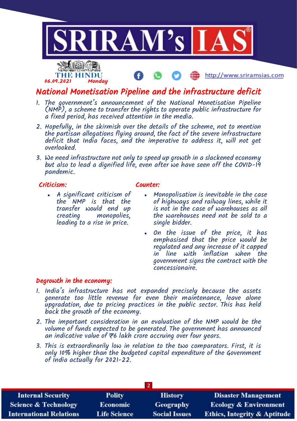

# National Monetisation Pipeline and the infrastructure deficit

- 1. The government's announcement of the National Monetisation Pipeline (NMP), a scheme to transfer the rights to operate public infrastructure for a fixed period, has received attention in the media.
- 2. Hopefully, in the skirmish over the details of the scheme, not to mention the partisan allegations flying around, the fact of the severe infrastructure deficit that India faces, and the imperative to address it, will not get overlooked.
- 3. We need infrastructure not only to speed up growth in a slackened economy but also to lead a dignified life, even after we have seen off the COVID-19 pandemic.

#### Criticism:

### Counter:

- A significant criticism of the NMP is that the transfer would end up creating monopolies, leading to a rise in price.
- Monopolisation is inevitable in the case of highways and railway lines, while it is not in the case of warehouses as all the warehouses need not be sold to a single bidder.
- On the issue of the price, it has emphasised that the price would be regulated and any increase of it capped in line with inflation when the government signs the contract with the concessionaire.

#### Degrowth in the economy:

- 1. India's infrastructure has not expanded precisely because the assets generate too little revenue for even their maintenance, leave alone upgradation, due to pricing practices in the public sector. This has held back the growth of the economy.
- 2. The important consideration in an evaluation of the NMP would be the volume of funds expected to be generated. The government has announced an indicative value of  $\pm 6$  lakh crore accruing over four years.
- 3. This is extraordinarily low in relation to the two comparators. First, it is only 10% higher than the budgeted capital expenditure of the Government of India actually for 2021-22.

| <b>Internal Security</b>        | <b>Polity</b>       | <b>History</b>       | <b>Disaster Management</b>              |
|---------------------------------|---------------------|----------------------|-----------------------------------------|
| <b>Science &amp; Technology</b> | <b>Economic</b>     | <b>Geography</b>     | <b>Ecology &amp; Environment</b>        |
| <b>International Relations</b>  | <b>Life Science</b> | <b>Social Issues</b> | <b>Ethics, Integrity &amp; Aptitude</b> |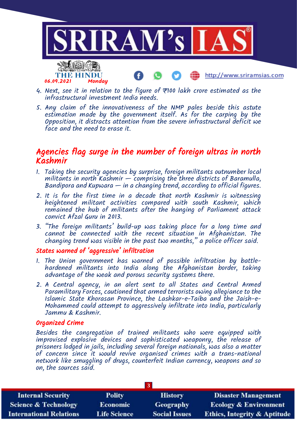

- 4. Next, see it in relation to the figure of  $\overline{\tau}$ 100 lakh crore estimated as the infrastructural investment India needs.
- 5. Any claim of the innovativeness of the NMP pales beside this astute estimation made by the government itself. As for the carping by the Opposition, it distracts attention from the severe infrastructural deficit we face and the need to erase it.

## Agencies flag surge in the number of foreign ultras in north Kashmir

- 1. Taking the security agencies by surprise, foreign militants outnumber local militants in north Kashmir  $-$  comprising the three districts of Baramulla, Bandipora and Kupwara  $-$  in a changing trend, according to official figures.
- 2. It is for the first time in a decade that north Kashmir is witnessing heightened militant activities compared with south Kashmir, which remained the hub of militants after the hanging of Parliament attack convict Afzal Guru in 2013.
- 3. "The foreign militants' build-up was taking place for a long time and cannot be connected with the recent situation in Afghanistan. The changing trend was visible in the past two months," a police officer said.

#### States warned of 'aggressive' infiltration

- 1. The Union government has warned of possible infiltration by battlehardened militants into India along the Afghanistan border, taking advantage of the weak and porous security systems there.
- 2. A Central agency, in an alert sent to all States and Central Armed Paramilitary Forces, cautioned that armed terrorists owing allegiance to the Islamic State Khorasan Province, the Lashkar-e-Taiba and the Jaish-e-Mohammed could attempt to aggressively infiltrate into India, particularly Jammu & Kashmir.

#### Organized Crime

Besides the congregation of trained militants who were equipped with improvised explosive devices and sophisticated weaponry, the release of prisoners lodged in jails, including several foreign nationals, was also a matter of concern since it would revive organised crimes with a trans-national network like smuggling of drugs, counterfeit Indian currency, weapons and so on, the sources said.

| <b>Internal Security</b>        | <b>Polity</b>       | <b>History</b>       | <b>Disaster Management</b>              |
|---------------------------------|---------------------|----------------------|-----------------------------------------|
| <b>Science &amp; Technology</b> | <b>Economic</b>     | <b>Geography</b>     | <b>Ecology &amp; Environment</b>        |
| <b>International Relations</b>  | <b>Life Science</b> | <b>Social Issues</b> | <b>Ethics, Integrity &amp; Aptitude</b> |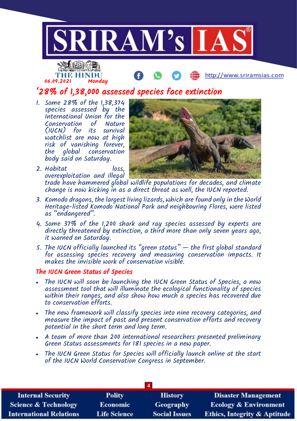

1. Some 28% of the 1,38,374 species assessed by the International Union for the Conservation of Nature (IUCN) for its survival watchlist are now at high risk of vanishing forever, the global conservation body said on Saturday.

2. Habitat loss,



overexploitation and illegal trade have hammered global wildlife populations for decades, and climate change is now kicking in as a direct threat as well, the IUCN reported.

- 3. Komodo dragons, the largest living lizards, which are found only in the World Heritage-listed Komodo National Park and neighbouring Flores, were listed as "endangered".
- 4. Some 37% of the 1,200 shark and ray species assessed by experts are directly threatened by extinction, a third more than only seven years ago, it warned on Saturday.
- 5. The IUCN officially launched its "green status" the first global standard for assessing species recovery and measuring conservation impacts. It makes the invisible work of conservation visible.

#### The IUCN Green Status of Species

- The IUCN will soon be launching the IUCN Green Status of Species, a new assessment tool that will illuminate the ecological functionality of species within their ranges, and also show how much a species has recovered due to conservation efforts.
- The new framework will classify species into nine recovery categories, and measure the impact of past and present conservation efforts and recovery potential in the short term and long term.
- A team of more than 200 international researchers presented preliminary Green Status assessments for 181 species in a new paper.
- The IUCN Green Status for Species will officially launch online at the start of the IUCN World Conservation Congress in September.

| <b>Internal Security</b>        | <b>Polity</b>       | <b>History</b>       | <b>Disaster Management</b>              |
|---------------------------------|---------------------|----------------------|-----------------------------------------|
| <b>Science &amp; Technology</b> | <b>Economic</b>     | <b>Geography</b>     | <b>Ecology &amp; Environment</b>        |
| <b>International Relations</b>  | <b>Life Science</b> | <b>Social Issues</b> | <b>Ethics, Integrity &amp; Aptitude</b> |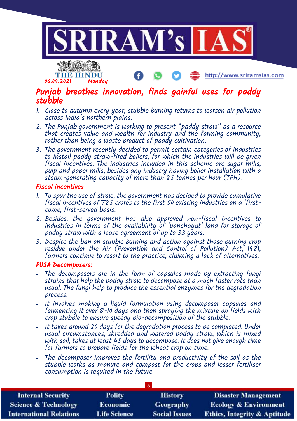

# Punjab breathes innovation, finds gainful uses for paddy stubble

- 1. Close to autumn every year, stubble burning returns to worsen air pollution across India's northern plains.
- 2. The Punjab government is working to present "paddy straw" as a resource that creates value and wealth for industry and the farming community, rather than being a waste product of paddy cultivation.
- 3. The government recently decided to permit certain categories of industries to install paddy straw-fired boilers, for which the industries will be given fiscal incentives. The industries included in this scheme are sugar mills, pulp and paper mills, besides any industry having boiler installation with a steam-generating capacity of more than 25 tonnes per hour (TPH).

#### Fiscal incentives

06.09.2021 Monday

- 1. To spur the use of straw, the government has decided to provide cumulative fiscal incentives of  $\neq 25$  crores to the first 50 existing industries on a 'firstcome, first-served basis.
- 2. Besides, the government has also approved non-fiscal incentives to industries in terms of the availability of 'panchayat' land for storage of paddy straw with a lease agreement of up to 33 years.
- 3. Despite the ban on stubble burning and action against those burning crop residue under the Air (Prevention and Control of Pollution) Act, 1981, farmers continue to resort to the practice, claiming a lack of alternatives.

#### PUSA Decomposers:

- The decomposers are in the form of capsules made by extracting fungi strains that help the paddy straw to decompose at a much faster rate than usual. The fungi help to produce the essential enzymes for the degradation process.
- It involves making a liquid formulation using decomposer capsules and fermenting it over 8-10 days and then spraying the mixture on fields with crop stubble to ensure speedy bio-decomposition of the stubble.
- It takes around 20 days for the degradation process to be completed. Under usual circumstances, shredded and watered paddy straw, which is mixed with soil, takes at least 45 days to decompose. It does not give enough time for farmers to prepare fields for the wheat crop on time.
- The decomposer improves the fertility and productivity of the soil as the stubble works as manure and compost for the crops and lesser fertiliser consumption is required in the future

| 5 <sup>1</sup>                  |                     |                      |                                         |
|---------------------------------|---------------------|----------------------|-----------------------------------------|
| <b>Internal Security</b>        | <b>Polity</b>       | <b>History</b>       | <b>Disaster Management</b>              |
| <b>Science &amp; Technology</b> | <b>Economic</b>     | <b>Geography</b>     | <b>Ecology &amp; Environment</b>        |
| <b>International Relations</b>  | <b>Life Science</b> | <b>Social Issues</b> | <b>Ethics, Integrity &amp; Aptitude</b> |